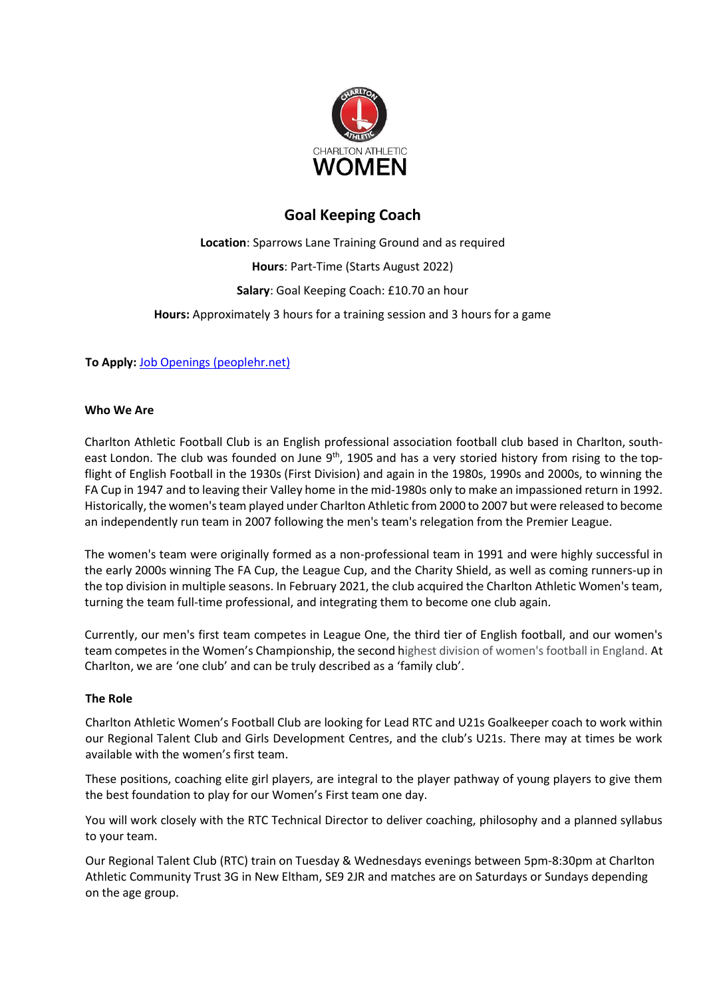

# **Goal Keeping Coach**

**Location**: Sparrows Lane Training Ground and as required **Hours**: Part-Time (Starts August 2022) **Salary**: Goal Keeping Coach: £10.70 an hour **Hours:** Approximately 3 hours for a training session and 3 hours for a game

**To Apply:** [Job Openings \(peoplehr.net\)](https://cafc.peoplehr.net/Pages/JobBoard/Opening.aspx?v=80fe62d3-008a-45f9-812f-b14b31cc2adc)

## **Who We Are**

Charlton Athletic Football Club is an English professional association football club based in Charlton, southeast London. The club was founded on June 9<sup>th</sup>, 1905 and has a very storied history from rising to the topflight of English Football in the 1930s (First Division) and again in the 1980s, 1990s and 2000s, to winning the FA Cup in 1947 and to leaving their Valley home in the mid-1980s only to make an impassioned return in 1992. Historically, the women's team played under Charlton Athletic from 2000 to 2007 but were released to become an independently run team in 2007 following the men's team's relegation from the Premier League.

The women's team were originally formed as a non-professional team in 1991 and were highly successful in the early 2000s winning The FA Cup, the League Cup, and the Charity Shield, as well as coming runners-up in the top division in multiple seasons. In February 2021, the club acquired the Charlton Athletic Women's team, turning the team full-time professional, and integrating them to become one club again.

Currently, our men's first team competes in League One, the third tier of English football, and our women's team competes in the Women's Championship, the second highest division of women's football in England. At Charlton, we are 'one club' and can be truly described as a 'family club'.

## **The Role**

Charlton Athletic Women's Football Club are looking for Lead RTC and U21s Goalkeeper coach to work within our Regional Talent Club and Girls Development Centres, and the club's U21s. There may at times be work available with the women's first team.

These positions, coaching elite girl players, are integral to the player pathway of young players to give them the best foundation to play for our Women's First team one day.

You will work closely with the RTC Technical Director to deliver coaching, philosophy and a planned syllabus to your team.

Our Regional Talent Club (RTC) train on Tuesday & Wednesdays evenings between 5pm-8:30pm at Charlton Athletic Community Trust 3G in New Eltham, SE9 2JR and matches are on Saturdays or Sundays depending on the age group.